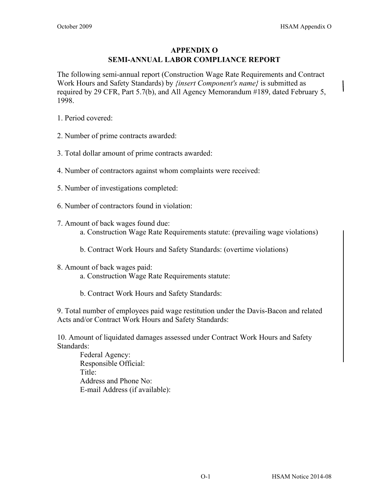## **APPENDIX O SEMI-ANNUAL LABOR COMPLIANCE REPORT**

The following semi-annual report (Construction Wage Rate Requirements and Contract Work Hours and Safety Standards) by *{insert Component's name}* is submitted as required by 29 CFR, Part 5.7(b), and All Agency Memorandum #189, dated February 5, 1998.

- 1. Period covered:
- 2. Number of prime contracts awarded:
- 3. Total dollar amount of prime contracts awarded:
- 4. Number of contractors against whom complaints were received:
- 5. Number of investigations completed:
- 6. Number of contractors found in violation:
- 7. Amount of back wages found due:
	- a. Construction Wage Rate Requirements statute: (prevailing wage violations)
	- b. Contract Work Hours and Safety Standards: (overtime violations)
- 8. Amount of back wages paid:
	- a. Construction Wage Rate Requirements statute:
	- b. Contract Work Hours and Safety Standards:

9. Total number of employees paid wage restitution under the Davis-Bacon and related Acts and/or Contract Work Hours and Safety Standards:

10. Amount of liquidated damages assessed under Contract Work Hours and Safety Standards:

Federal Agency: Responsible Official: Title: Address and Phone No: E-mail Address (if available):